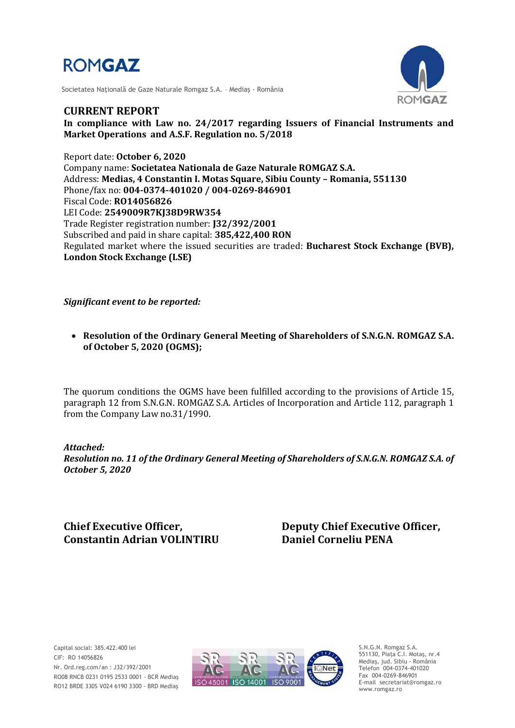

Societatea Naţională de Gaze Naturale Romgaz S.A. – Mediaş - România



#### **CURRENT REPORT In compliance with Law no. 24/2017 regarding Issuers of Financial Instruments and Market Operations and A.S.F. Regulation no. 5/2018**

Report date: **October 6, 2020** Company name: **Societatea Nationala de Gaze Naturale ROMGAZ S.A.** Address: **Medias, 4 Constantin I. Motas Square, Sibiu County – Romania, 551130** Phone/fax no: **004-0374-401020 / 004-0269-846901** Fiscal Code: **RO14056826** LEI Code: **2549009R7KJ38D9RW354** Trade Register registration number: **J32/392/2001** Subscribed and paid in share capital: **385,422,400 RON** Regulated market where the issued securities are traded: **Bucharest Stock Exchange (BVB), London Stock Exchange (LSE)**

*Significant event to be reported:*

 **Resolution of the Ordinary General Meeting of Shareholders of S.N.G.N. ROMGAZ S.A. of October 5, 2020 (OGMS);**

The quorum conditions the OGMS have been fulfilled according to the provisions of Article 15, paragraph 12 from S.N.G.N. ROMGAZ S.A. Articles of Incorporation and Article 112, paragraph 1 from the Company Law no.31/1990.

*Attached: Resolution no. 11 of the Ordinary General Meeting of Shareholders of S.N.G.N. ROMGAZ S.A. of October 5, 2020*

**Constantin Adrian VOLINTIRU Daniel Corneliu PENA**

**Chief Executive Officer, Deputy Chief Executive Officer,**



S.N.G.N. Romgaz S.A. 551130, Piața C.I. Motaş, nr.4 Mediaş, jud. Sibiu - România Telefon 004-0374-401020 Fax 004-0269-846901 E-mail secretariat@romgaz.ro www.romgaz.ro